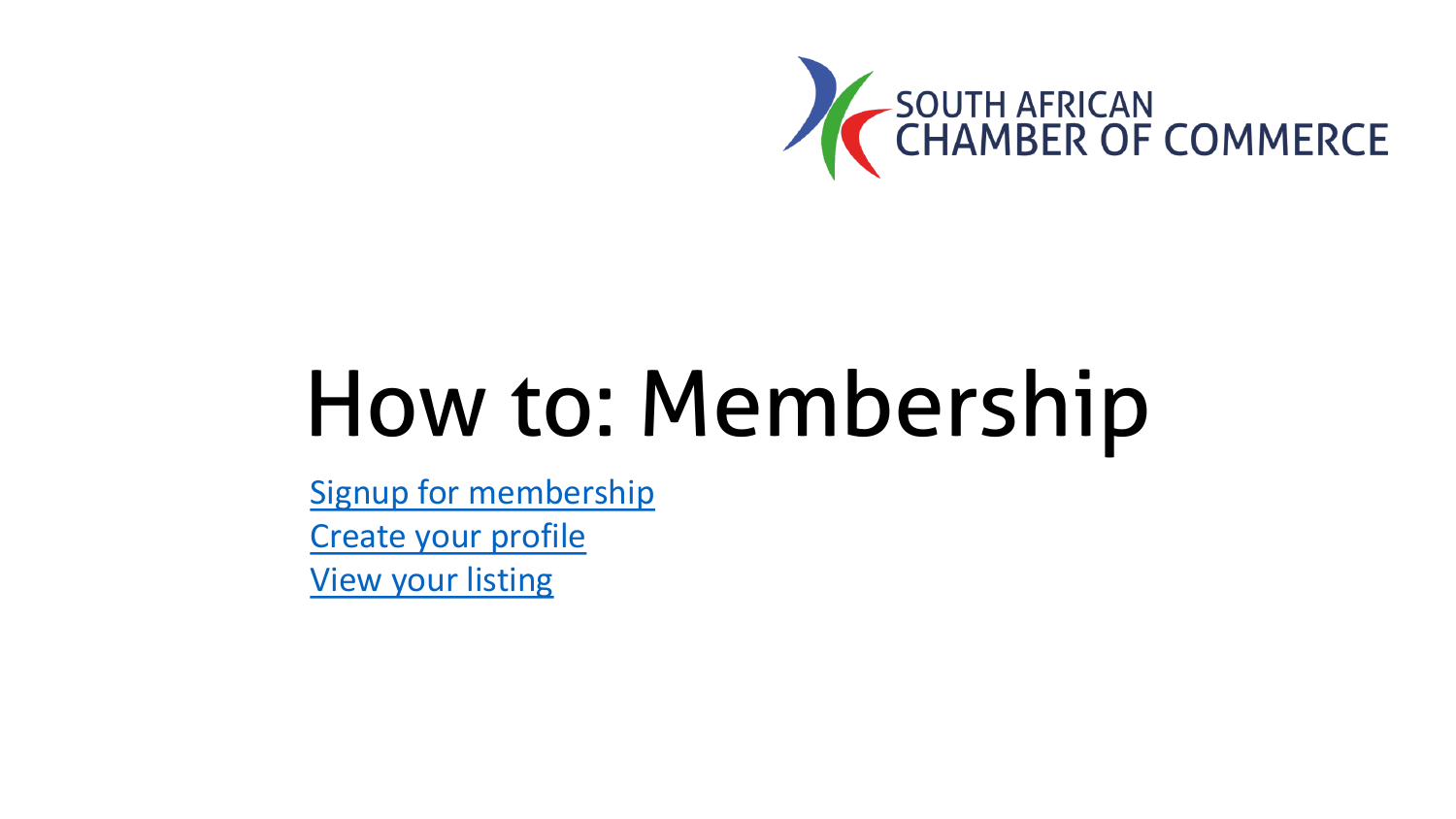

# <span id="page-0-0"></span>How to: Membership

[Signup for membership](#page-1-0) [Create your profile](#page-12-0) [View your listing](#page-18-0)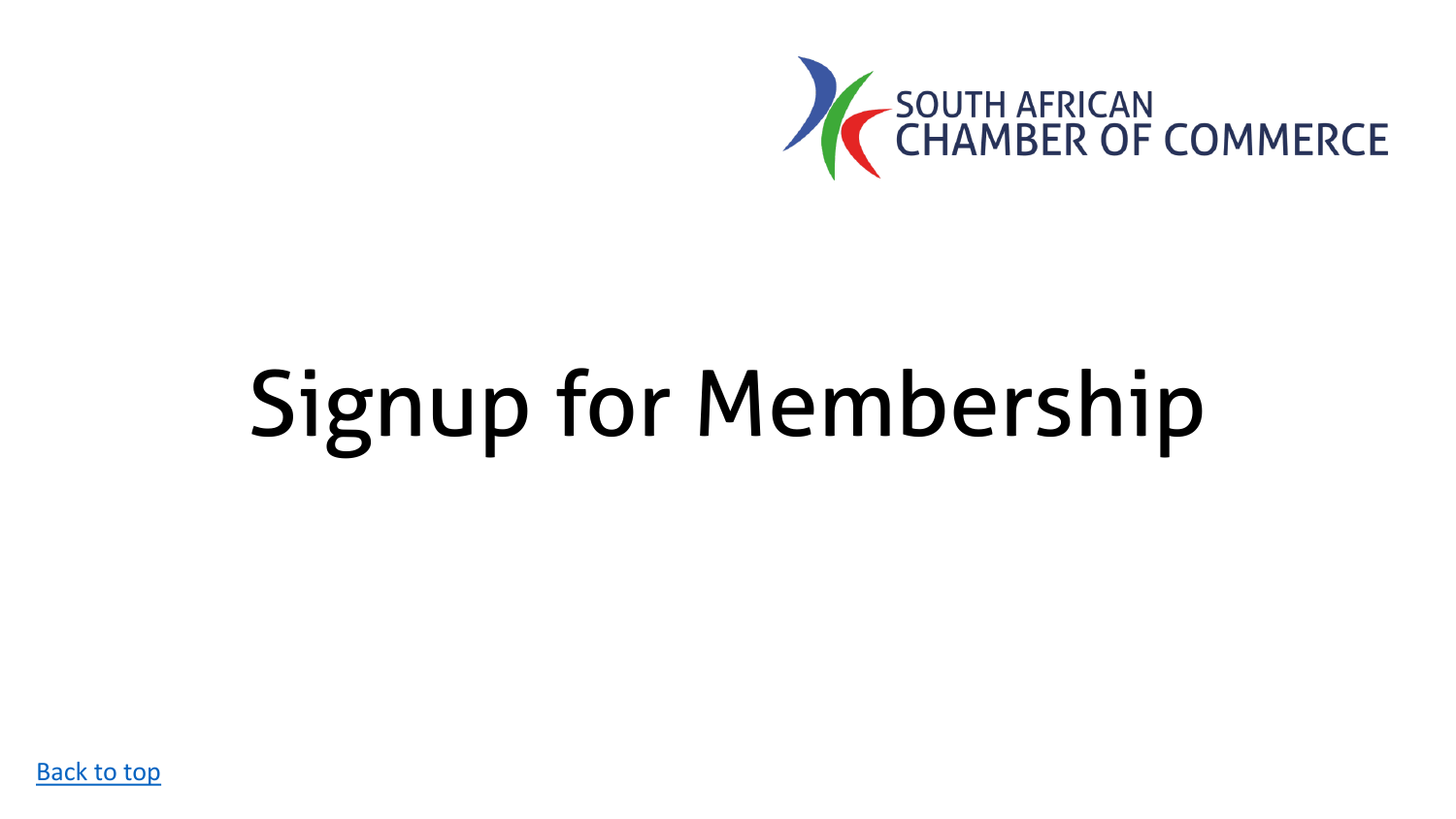

# <span id="page-1-0"></span>Signup for Membership

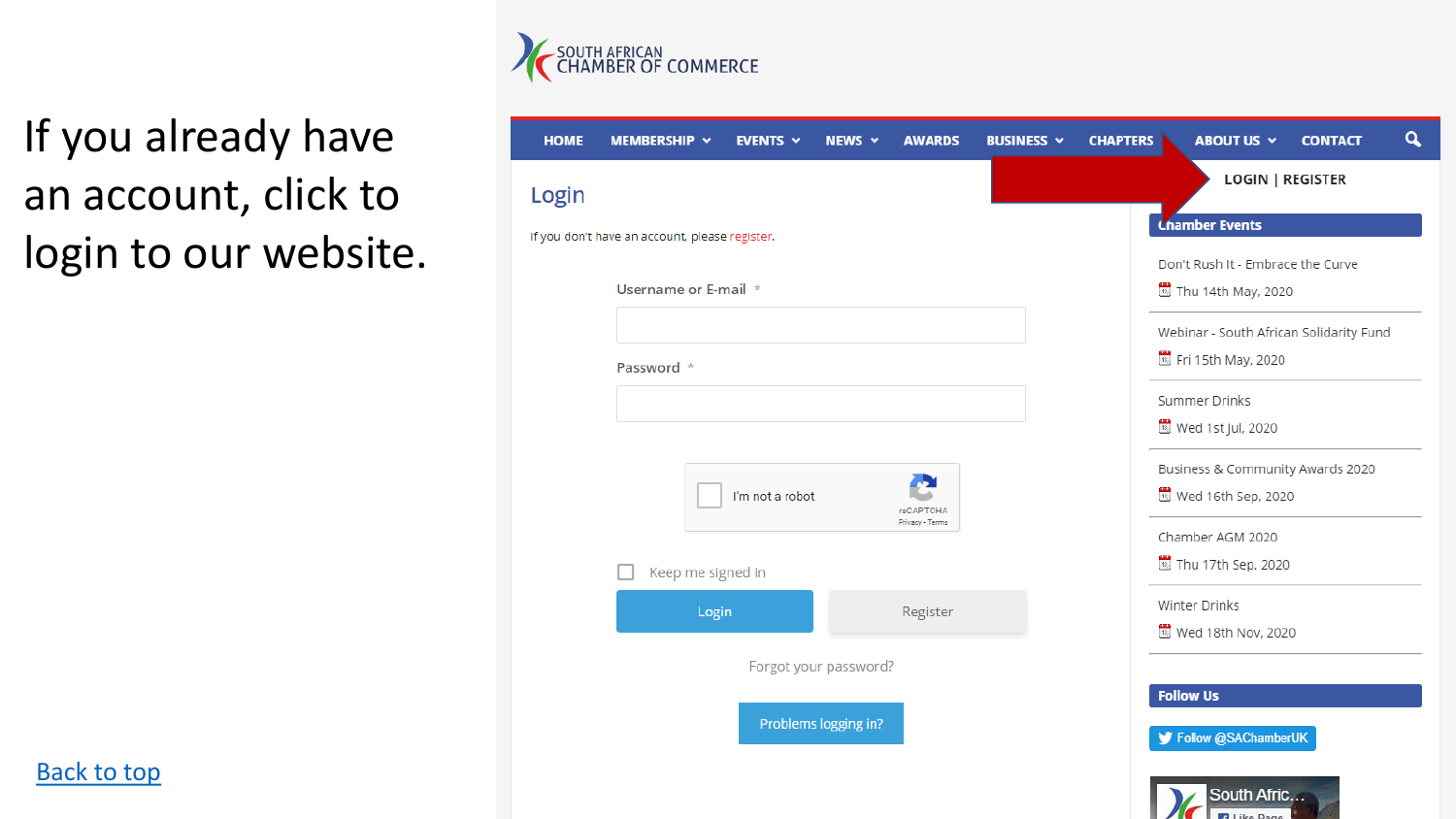

## If you already have an account, click to login to our website.

| <b>LOGIN   REGISTER</b><br>Login<br><b>Chamber Events</b><br>If you don't have an account, please register.<br>Don't Rush It - Embrace the Curve<br>Username or E-mail *<br>B Thu 14th May, 2020<br>Webinar - South African Solidarity Fund<br><sup>13</sup> Fri 15th May, 2020<br>Password *<br>Summer Drinks<br><sup>13</sup> Wed 1st Jul, 2020<br>Business & Community Awards 2020<br>I'm not a robot<br>Wed 16th Sep, 2020<br>reCAPTCHA<br>Privacy - Terms<br>Chamber AGM 2020<br>Thu 17th Sep, 2020<br>Keep me signed in<br>Winter Drinks<br>Login<br>Register<br><sup>13</sup> Wed 18th Nov, 2020<br>Forgot your password?<br><b>Follow Us</b><br>Problems logging in? | <b>HOME</b> | MEMBERSHIP Y | <b>EVENTS <math>\sim</math></b> | NEWS $\sim$ | <b>AWARDS</b> | <b>BUSINESS Y</b> | <b>CHAPTERS</b> | ABOUT US Y | <b>CONTACT</b> | Q |
|------------------------------------------------------------------------------------------------------------------------------------------------------------------------------------------------------------------------------------------------------------------------------------------------------------------------------------------------------------------------------------------------------------------------------------------------------------------------------------------------------------------------------------------------------------------------------------------------------------------------------------------------------------------------------|-------------|--------------|---------------------------------|-------------|---------------|-------------------|-----------------|------------|----------------|---|
|                                                                                                                                                                                                                                                                                                                                                                                                                                                                                                                                                                                                                                                                              |             |              |                                 |             |               |                   |                 |            |                |   |
|                                                                                                                                                                                                                                                                                                                                                                                                                                                                                                                                                                                                                                                                              |             |              |                                 |             |               |                   |                 |            |                |   |
|                                                                                                                                                                                                                                                                                                                                                                                                                                                                                                                                                                                                                                                                              |             |              |                                 |             |               |                   |                 |            |                |   |
|                                                                                                                                                                                                                                                                                                                                                                                                                                                                                                                                                                                                                                                                              |             |              |                                 |             |               |                   |                 |            |                |   |
|                                                                                                                                                                                                                                                                                                                                                                                                                                                                                                                                                                                                                                                                              |             |              |                                 |             |               |                   |                 |            |                |   |
|                                                                                                                                                                                                                                                                                                                                                                                                                                                                                                                                                                                                                                                                              |             |              |                                 |             |               |                   |                 |            |                |   |
|                                                                                                                                                                                                                                                                                                                                                                                                                                                                                                                                                                                                                                                                              |             |              |                                 |             |               |                   |                 |            |                |   |
|                                                                                                                                                                                                                                                                                                                                                                                                                                                                                                                                                                                                                                                                              |             |              |                                 |             |               |                   |                 |            |                |   |
|                                                                                                                                                                                                                                                                                                                                                                                                                                                                                                                                                                                                                                                                              |             |              |                                 |             |               |                   |                 |            |                |   |
|                                                                                                                                                                                                                                                                                                                                                                                                                                                                                                                                                                                                                                                                              |             |              |                                 |             |               |                   |                 |            |                |   |
|                                                                                                                                                                                                                                                                                                                                                                                                                                                                                                                                                                                                                                                                              |             |              |                                 |             |               |                   |                 |            |                |   |
|                                                                                                                                                                                                                                                                                                                                                                                                                                                                                                                                                                                                                                                                              |             |              |                                 |             |               |                   |                 |            |                |   |
|                                                                                                                                                                                                                                                                                                                                                                                                                                                                                                                                                                                                                                                                              |             |              |                                 |             |               |                   |                 |            |                |   |
|                                                                                                                                                                                                                                                                                                                                                                                                                                                                                                                                                                                                                                                                              |             |              |                                 |             |               |                   |                 |            |                |   |
|                                                                                                                                                                                                                                                                                                                                                                                                                                                                                                                                                                                                                                                                              |             |              |                                 |             |               |                   |                 |            |                |   |
|                                                                                                                                                                                                                                                                                                                                                                                                                                                                                                                                                                                                                                                                              |             |              |                                 |             |               |                   |                 |            |                |   |
| Follow @SAChamberUK                                                                                                                                                                                                                                                                                                                                                                                                                                                                                                                                                                                                                                                          |             |              |                                 |             |               |                   |                 |            |                |   |

South Afric... **Dalliko Dago** 

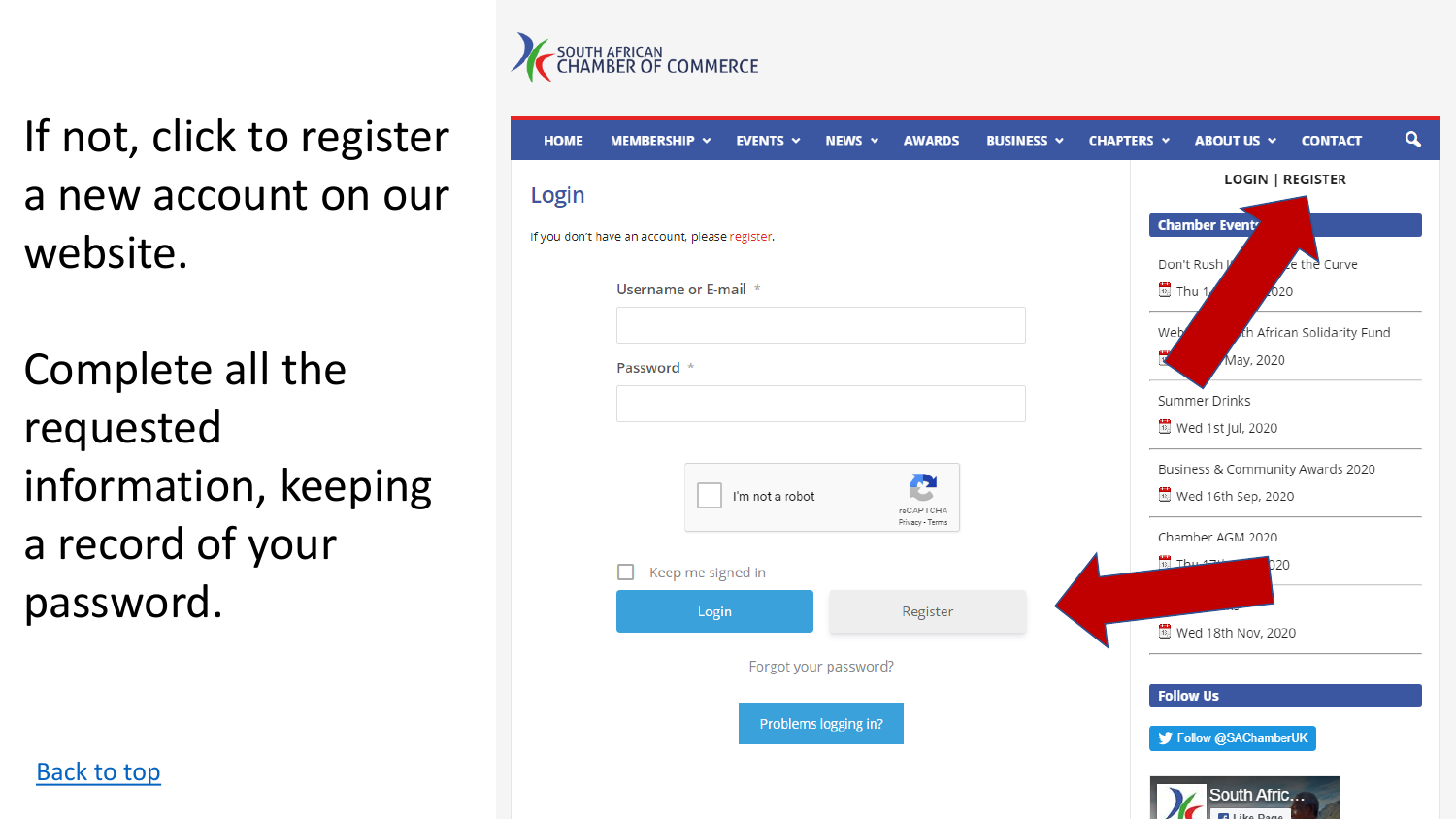

If not, click to register a new account on our website.

Complete all the requested information, keeping a record of your password.

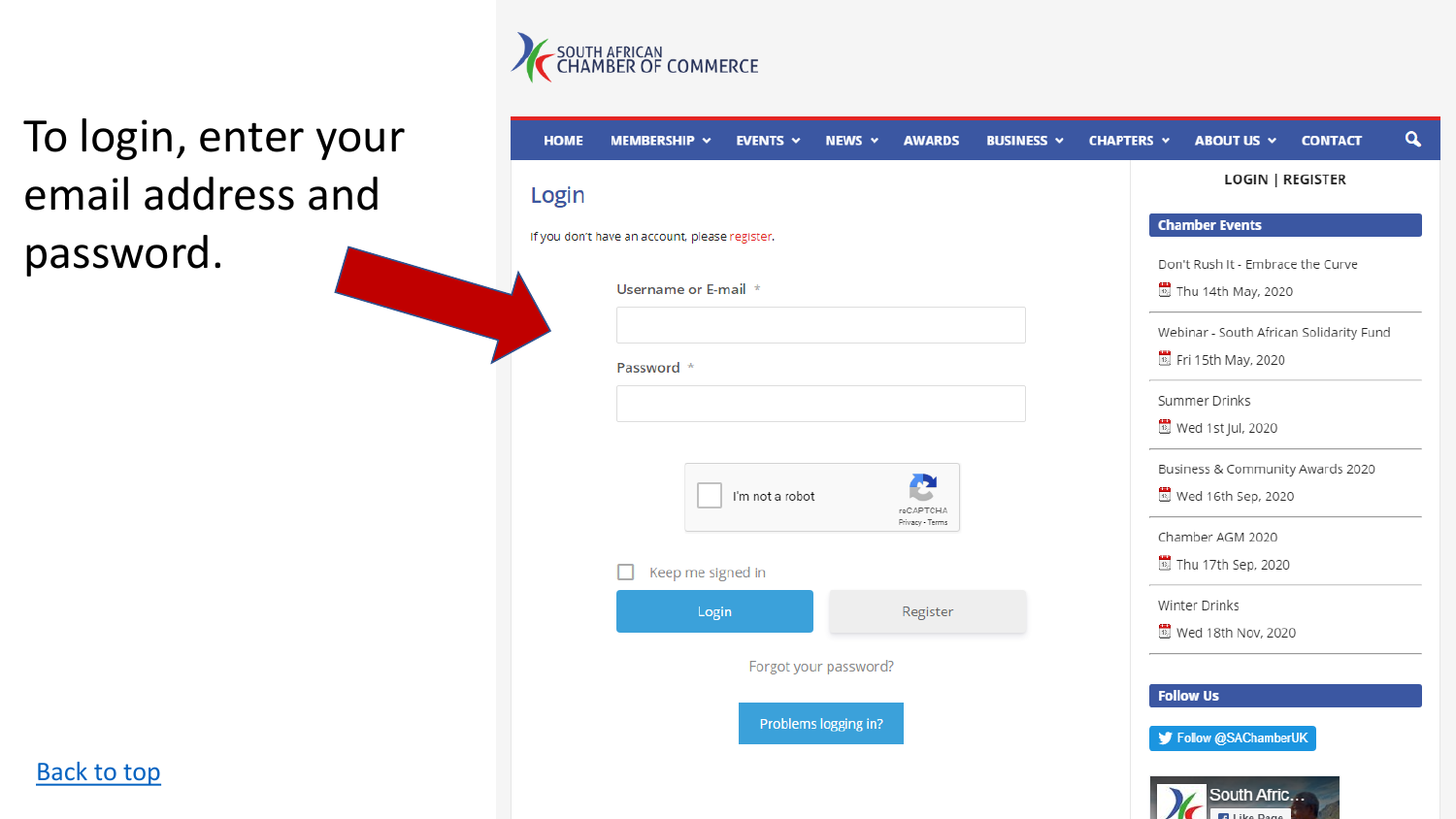

## To login, enter your email address and password.

| Login |                                                |                 | <b>LOGIN   REGISTER</b>                 |
|-------|------------------------------------------------|-----------------|-----------------------------------------|
|       | If you don't have an account, please register. |                 | <b>Chamber Events</b>                   |
|       |                                                |                 | Don't Rush It - Embrace the Curve       |
|       | Username or E-mail *                           |                 | Thu 14th May, 2020                      |
|       |                                                |                 | Webinar - South African Solidarity Fund |
|       | Password *                                     |                 | B Fri 15th May, 2020                    |
|       |                                                |                 | Summer Drinks                           |
|       |                                                |                 | <sup>13</sup> Wed 1st Jul, 2020         |
|       |                                                |                 | Business & Community Awards 2020        |
|       | I'm not a robot                                | reCAPTCHA       | Wed 16th Sep, 2020                      |
|       |                                                | Privacy - Terms | Chamber AGM 2020                        |
|       | Keep me signed in                              |                 | Thu 17th Sep, 2020                      |
|       | Login                                          | Register        | Winter Drinks                           |
|       |                                                |                 | <b>B</b> Wed 18th Nov, 2020             |
|       | Forgot your password?                          |                 |                                         |
|       |                                                |                 | <b>Follow Us</b>                        |

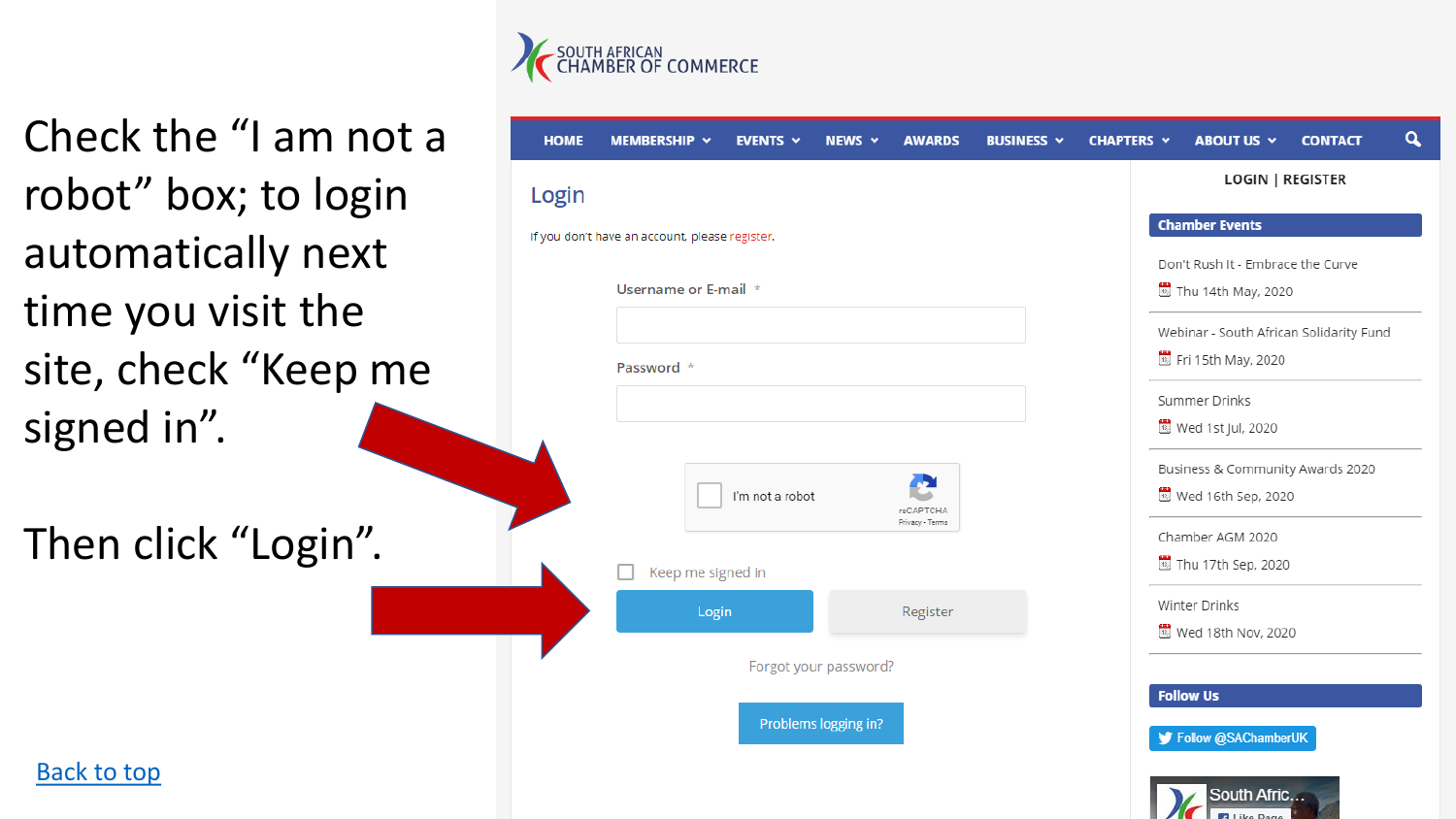

Check the "I am not a robot" box; to login automatically next time you visit the site, check "Keep me signed in".

Then click "Login".



South Afric... **Bill Like Dans** 

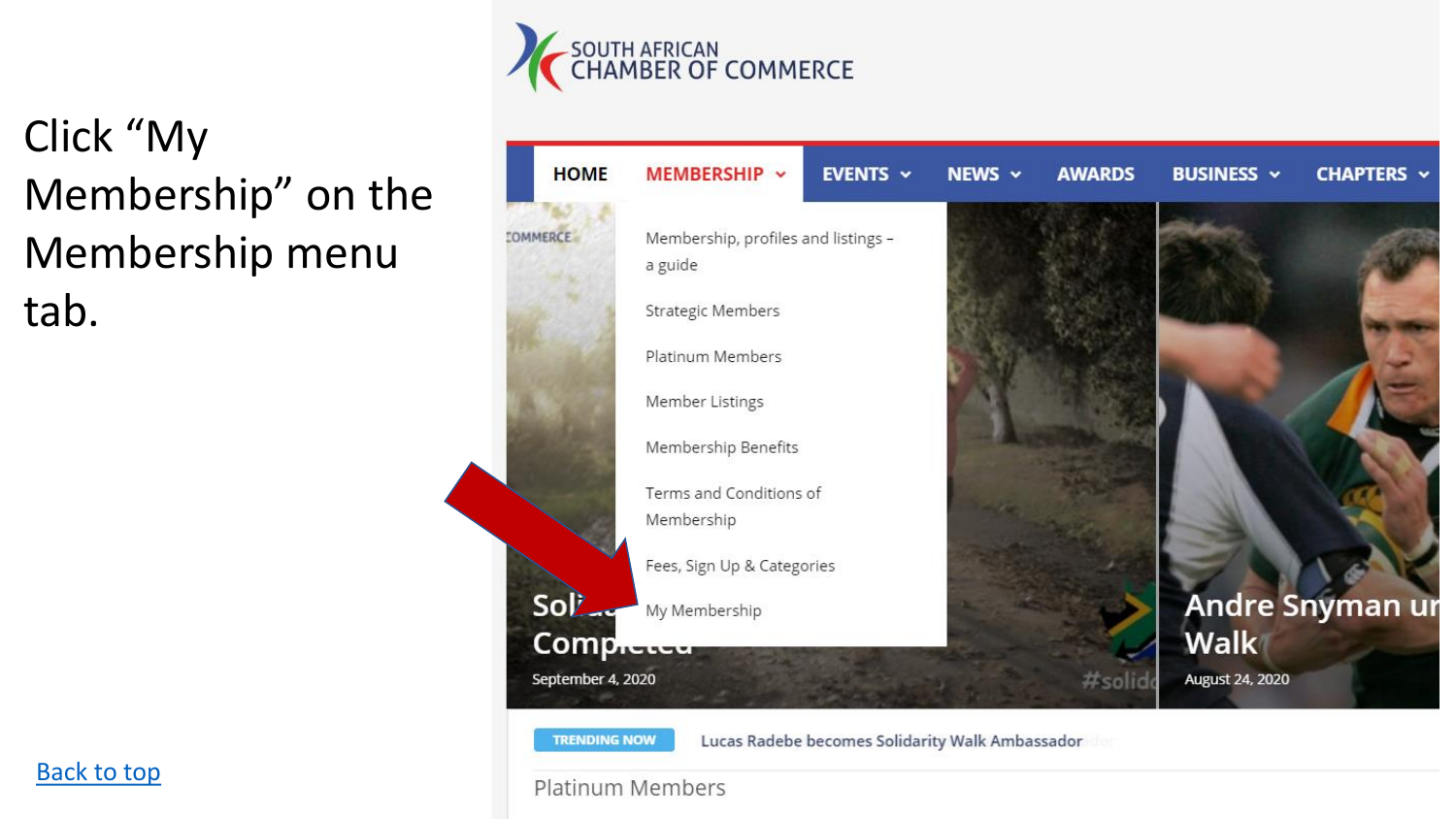

# Click "My Membership" on the Membership menu tab.



**TRENDING NOW** 

Lucas Radebe becomes Solidarity Walk Ambassador

#### **Platinum Members**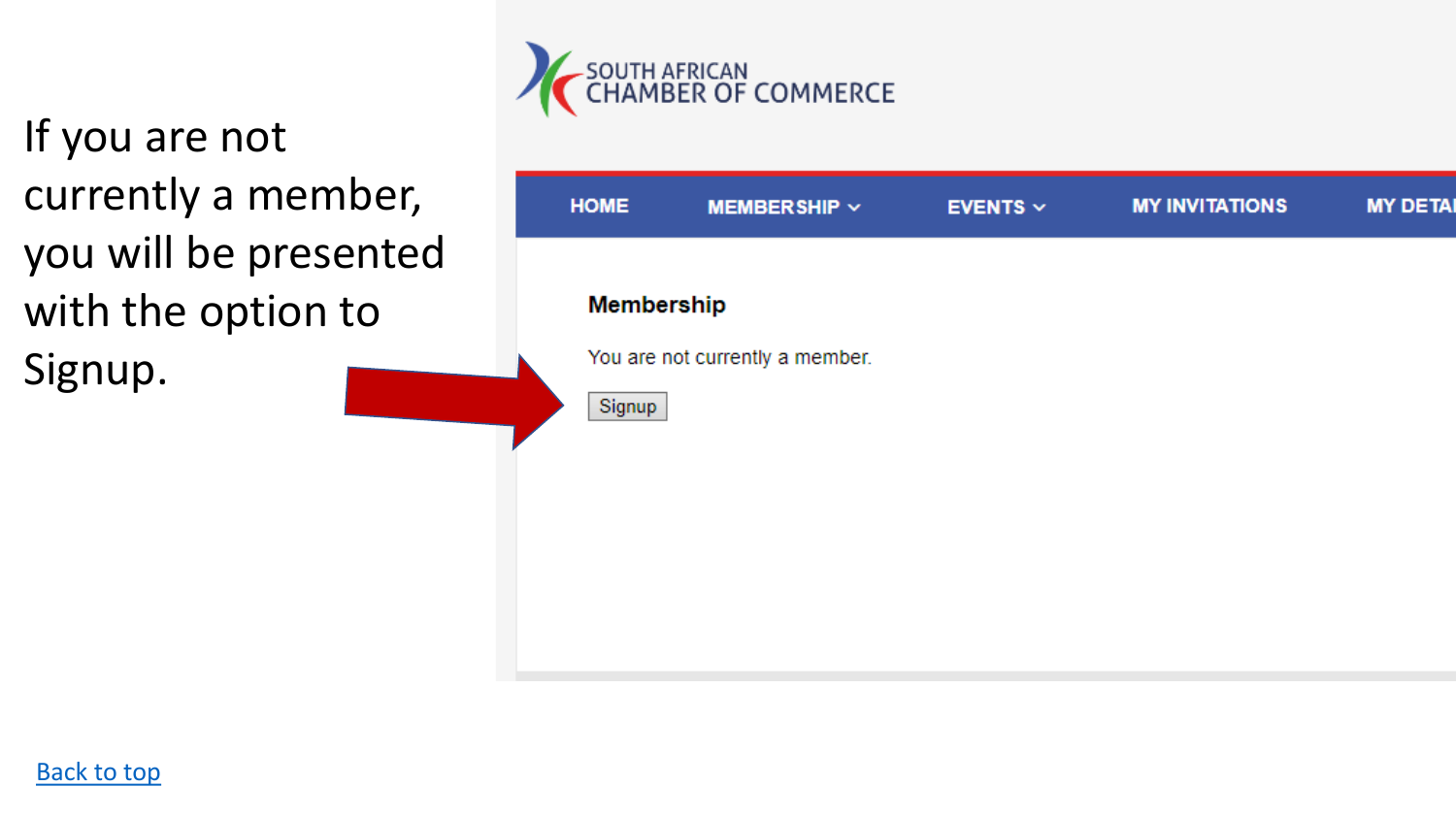If you are not currently a member, you will be presented with the option to Signup.



| <b>HOME</b>                 | <b>MEMBERSHIP v</b>             | <b>EVENTS</b> $\sim$ | <b>MY INVITATIONS</b> | <b>MY DETAI</b> |
|-----------------------------|---------------------------------|----------------------|-----------------------|-----------------|
| <b>Membership</b><br>Signup | You are not currently a member. |                      |                       |                 |

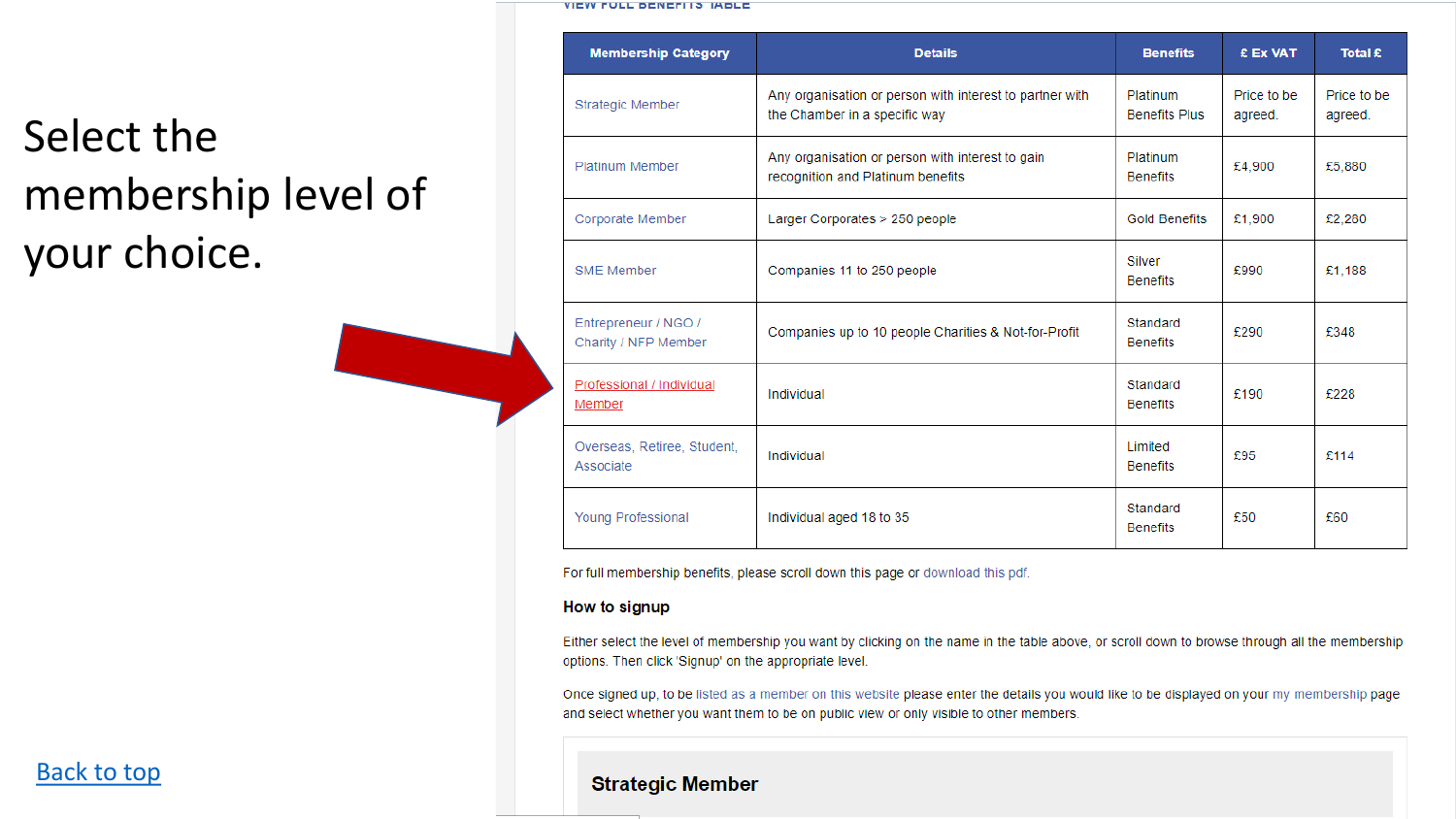#### **VIEW FULL DENEFITS IADLE**

# Select the membership level of your choice.

| <b>Membership Category</b>                   | <b>Details</b>                                                                            | <b>Benefits</b>                  | £ Ex VAT               | Total £                |
|----------------------------------------------|-------------------------------------------------------------------------------------------|----------------------------------|------------------------|------------------------|
| <b>Strategic Member</b>                      | Any organisation or person with interest to partner with<br>the Chamber in a specific way | Platinum<br><b>Benefits Plus</b> | Price to be<br>agreed. | Price to be<br>agreed. |
| Platinum Member                              | Any organisation or person with interest to gain<br>recognition and Platinum benefits     | Platinum<br><b>Benefits</b>      | £4,900                 | £5,880                 |
| Corporate Member                             | Larger Corporates > 250 people                                                            | <b>Gold Benefits</b>             | £1,900                 | £2.280                 |
| <b>SME Member</b>                            | Companies 11 to 250 people                                                                | Silver<br><b>Benefits</b>        | £990                   | £1,188                 |
| Entrepreneur / NGO /<br>Charity / NFP Member | Companies up to 10 people Charities & Not-for-Profit                                      | Standard<br><b>Benefits</b>      | £290                   | £348                   |
| Professional / Individual<br>Member          | Individual                                                                                | Standard<br><b>Benefits</b>      | £190                   | £228                   |
| Overseas, Retiree, Student,<br>Associate     | Individual                                                                                | Limited<br><b>Benefits</b>       | £95                    | £114                   |
| <b>Young Professional</b>                    | Individual aged 18 to 35                                                                  | Standard<br><b>Benefits</b>      | £50                    | £60                    |

For full membership benefits, please scroll down this page or download this pdf.

#### How to signup

Either select the level of membership you want by clicking on the name in the table above, or scroll down to browse through all the membership options. Then click 'Signup' on the appropriate level.

Once signed up, to be listed as a member on this website please enter the details you would like to be displayed on your my membership page and select whether you want them to be on public view or only visible to other members.

#### **Strategic Member**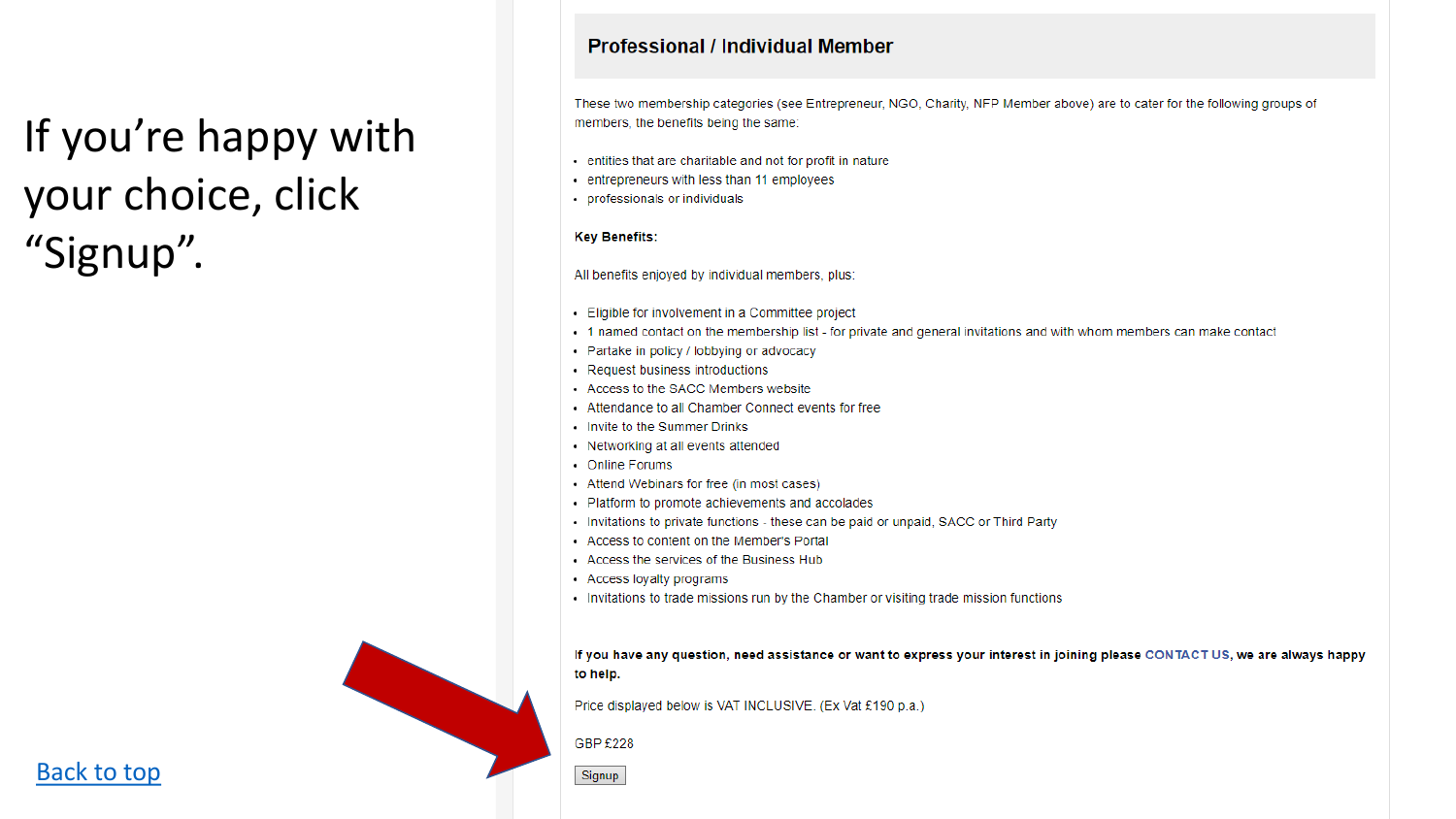# If you're happy with your choice, click "Signup".

#### **Professional / Individual Member**

These two membership categories (see Entrepreneur, NGO, Charity, NFP Member above) are to cater for the following groups of members, the benefits being the same:

- entities that are charitable and not for profit in nature
- entrepreneurs with less than 11 employees
- professionals or individuals

#### **Key Benefits:**

All benefits enjoyed by individual members, plus:

- Eligible for involvement in a Committee project
- 1 named contact on the membership list for private and general invitations and with whom members can make contact
- Partake in policy / lobbying or advocacy
- Request business introductions
- Access to the SACC Members website
- Attendance to all Chamber Connect events for free
- Invite to the Summer Drinks
- Networking at all events attended
- Online Forums
- Attend Webinars for free (in most cases)
- Platform to promote achievements and accolades
- Invitations to private functions these can be paid or unpaid, SACC or Third Party
- Access to content on the Member's Portal
- Access the services of the Business Hub
- Access loyalty programs
- Invitations to trade missions run by the Chamber or visiting trade mission functions

If you have any question, need assistance or want to express your interest in joining please CONTACT US, we are always happy to help.

Price displayed below is VAT INCLUSIVE. (Ex Vat £190 p.a.)

GBP £228

Signup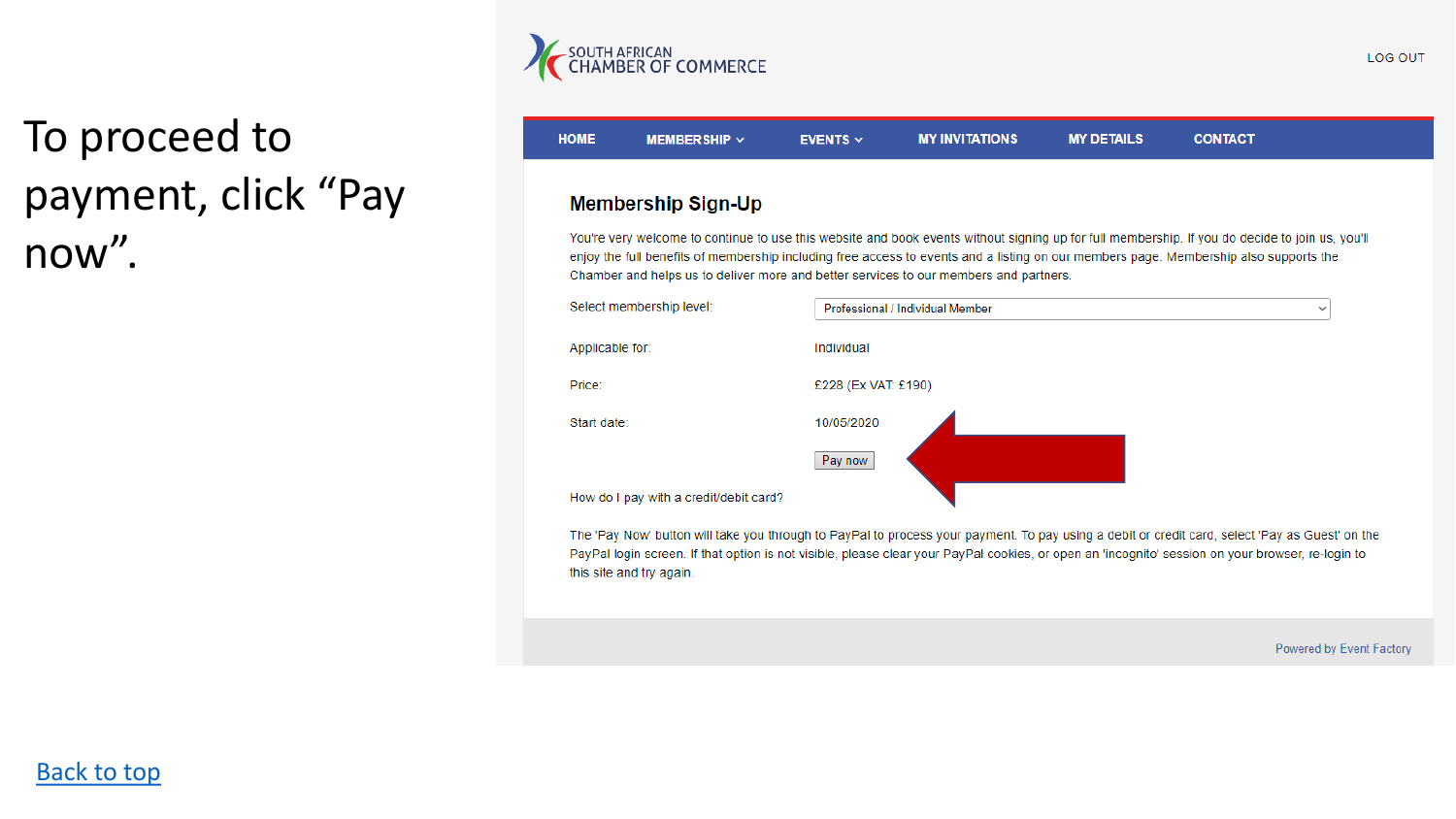

# To proceed to payment, click "Pay now".

#### **HOME** MEMBER SHIP  $\sim$ **EVENTS**  $\vee$ **MY INVITATIONS MY DETAILS CONTACT Membership Sign-Up** You're very welcome to continue to use this website and book events without signing up for full membership. If you do decide to join us, you'll enjoy the full benefits of membership including free access to events and a listing on our members page. Membership also supports the Chamber and helps us to deliver more and better services to our members and partners.



The 'Pay Now' button will take you through to PayPal to process your payment. To pay using a debit or credit card, select 'Pay as Guest' on the PayPal login screen. If that option is not visible, please clear your PayPal cookies, or open an 'incognito' session on your browser, re-login to this site and try again.

Powered by Event Factory

 $\checkmark$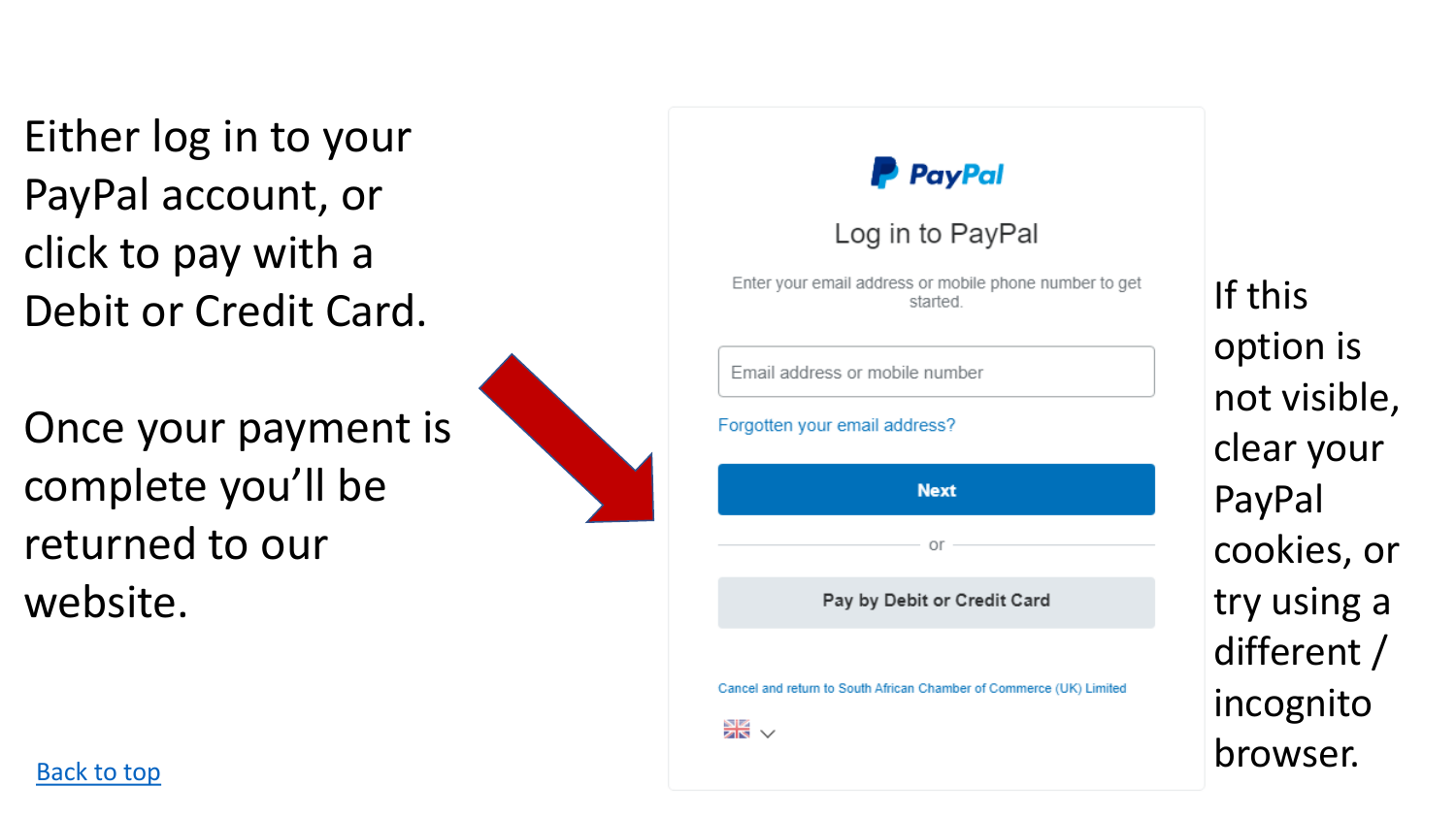Either log in to your PayPal account, or click to pay with a Debit or Credit Card.

Once your payment is complete you'll be returned to our website.



## **P** PayPal

## Log in to PayPal

Enter your email address or mobile phone number to get started.

#### Forgotten your email address?



Pay by Debit or Credit Card

Cancel and return to South African Chamber of Commerce (UK) Limited



If this option is not visible, clear your PayPal cookies, or try using a different / incognito [Back to top](#page-0-0) browser.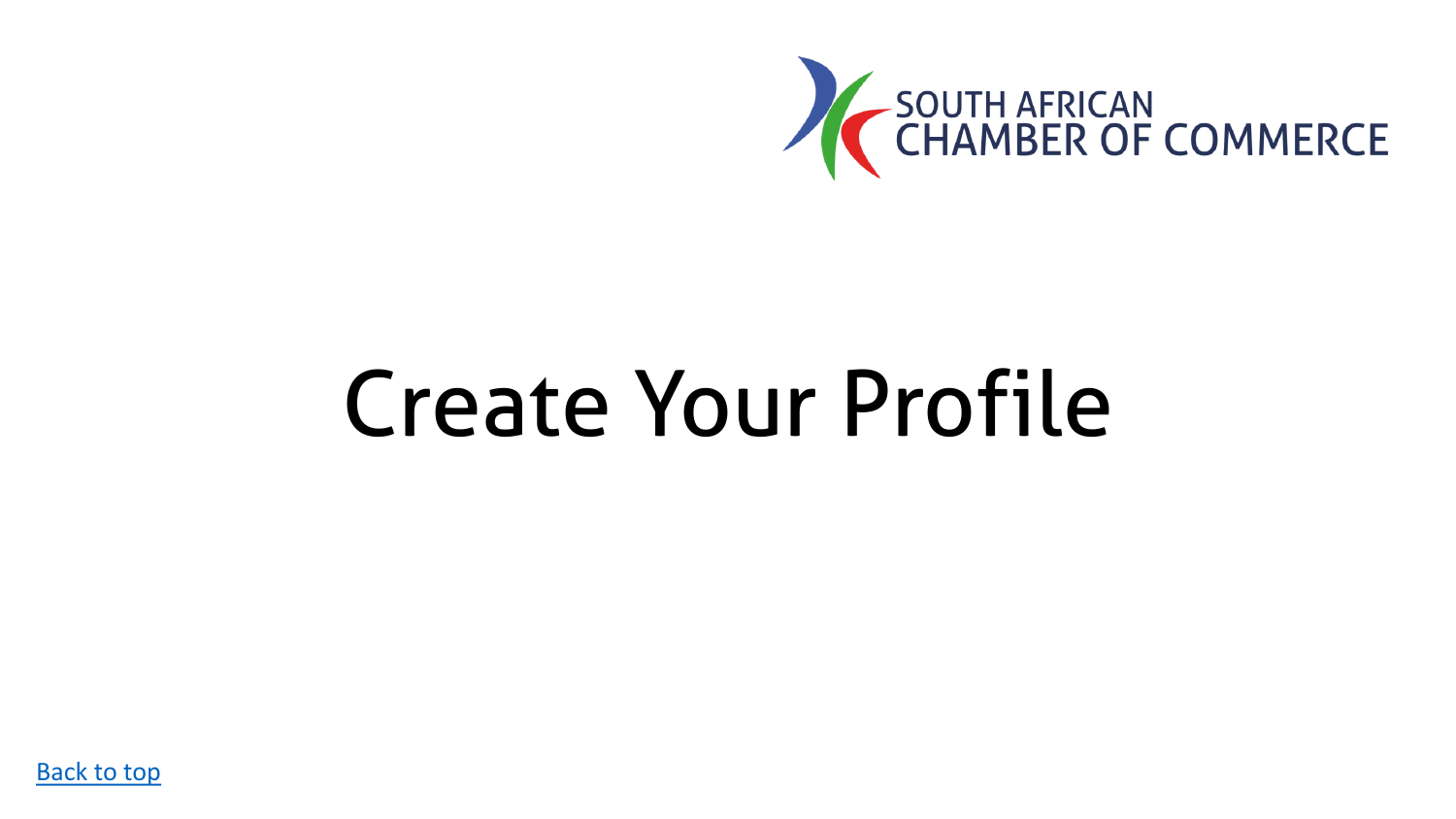

# <span id="page-12-0"></span>Create Your Profile

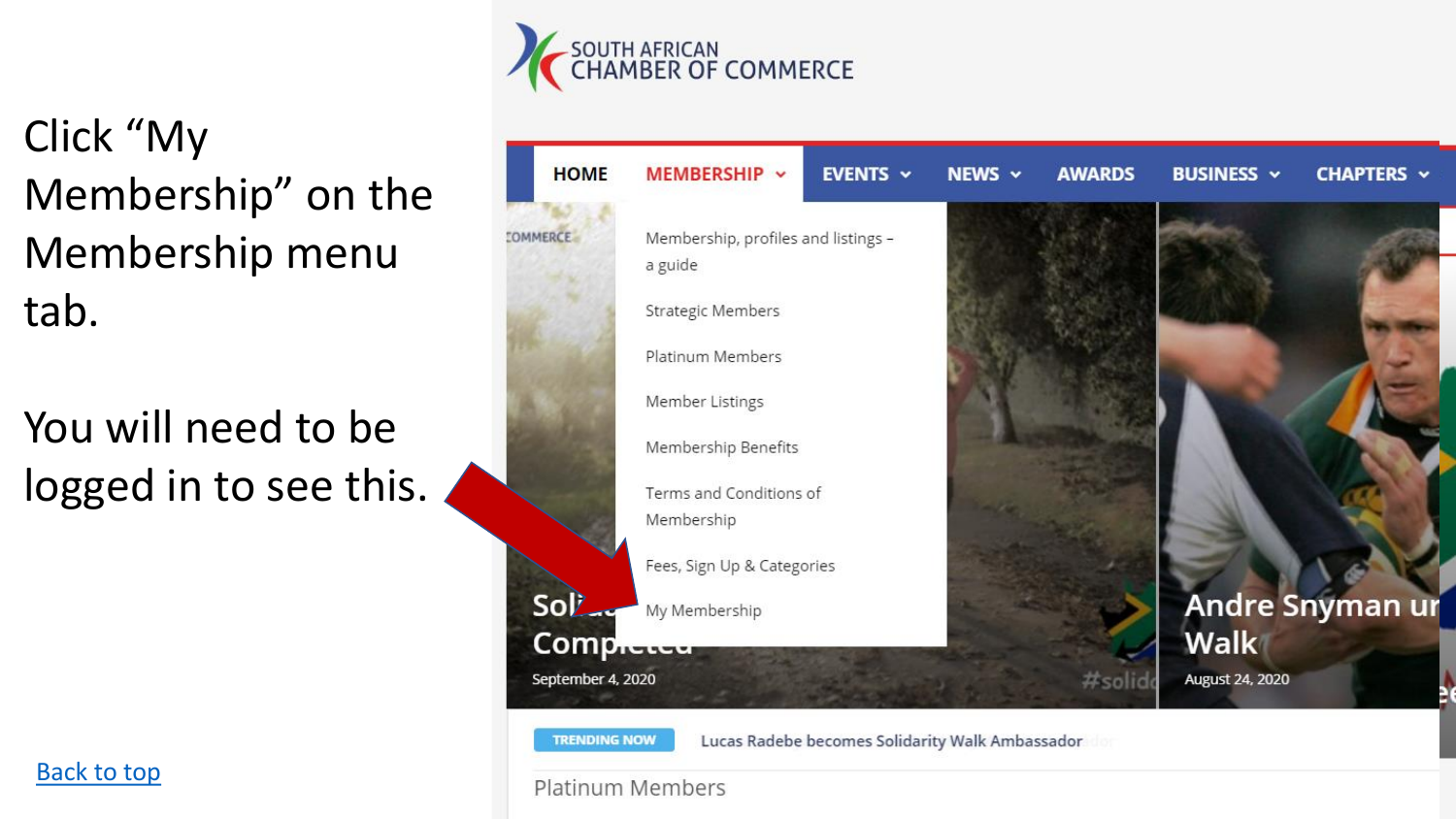

Click "My Membership" on the Membership menu tab.

You will need to be logged in to see this.





Platinum Members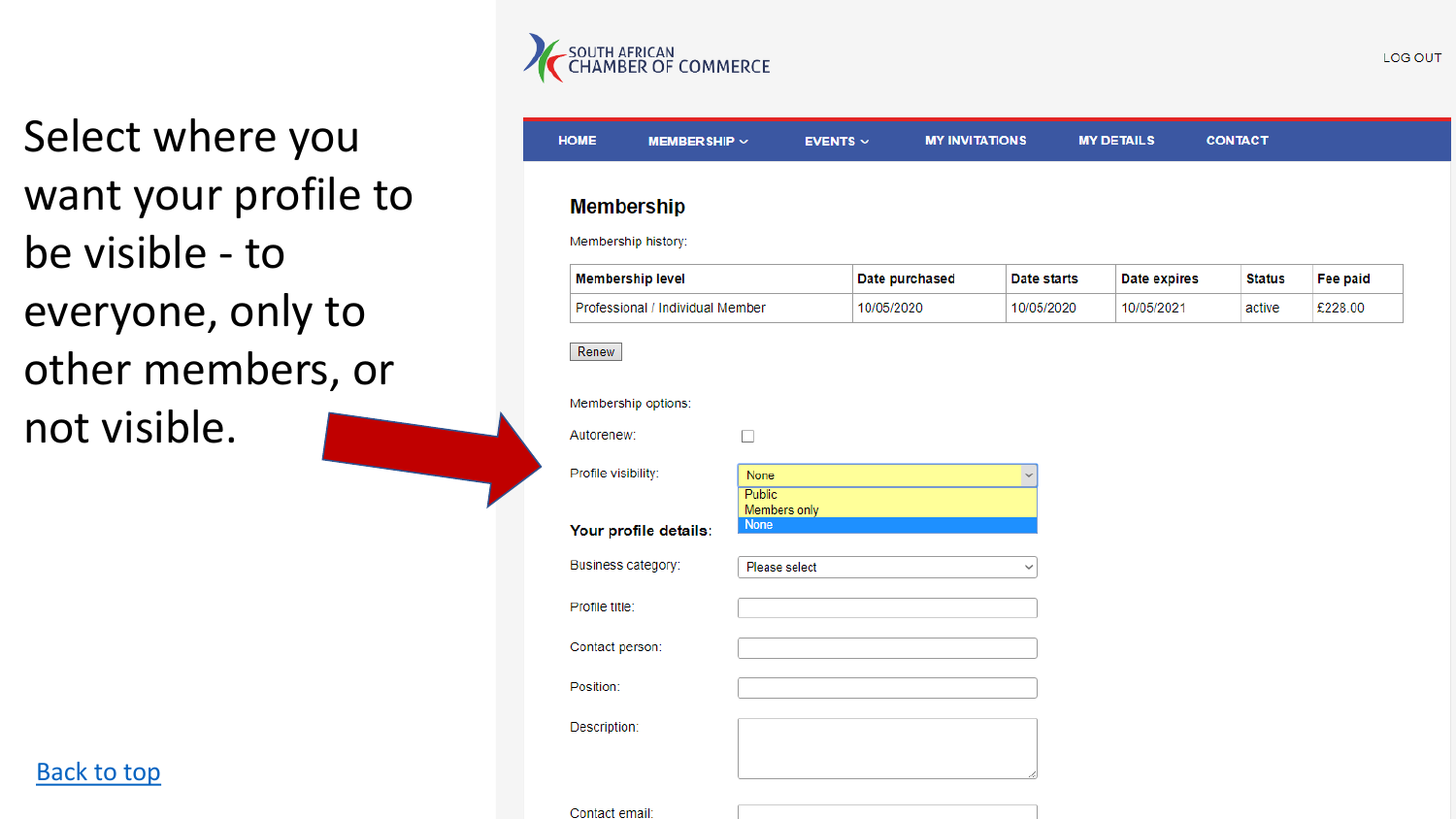

Select where you want your profile to be visible - to everyone, only to other members, or not visible.

[Back to top](#page-0-0)

| Membership history:     |                                  |               |                |              |              |               |                 |
|-------------------------|----------------------------------|---------------|----------------|--------------|--------------|---------------|-----------------|
| <b>Membership level</b> |                                  |               | Date purchased | Date starts  | Date expires | <b>Status</b> | <b>Fee paid</b> |
|                         | Professional / Individual Member |               | 10/05/2020     | 10/05/2020   | 10/05/2021   | active        | £228.00         |
| Renew                   |                                  |               |                |              |              |               |                 |
| Membership options:     |                                  |               |                |              |              |               |                 |
| Autorenew:              | $\Box$                           |               |                |              |              |               |                 |
| Profile visibility:     | None<br>Public                   |               |                | $\checkmark$ |              |               |                 |
|                         |                                  |               |                |              |              |               |                 |
| Your profile details:   | <b>None</b>                      | Members only  |                |              |              |               |                 |
| Business category:      |                                  | Please select |                | $\checkmark$ |              |               |                 |
| Profile title:          |                                  |               |                |              |              |               |                 |
| Contact person:         |                                  |               |                |              |              |               |                 |
| Position:               |                                  |               |                |              |              |               |                 |

LOG OUT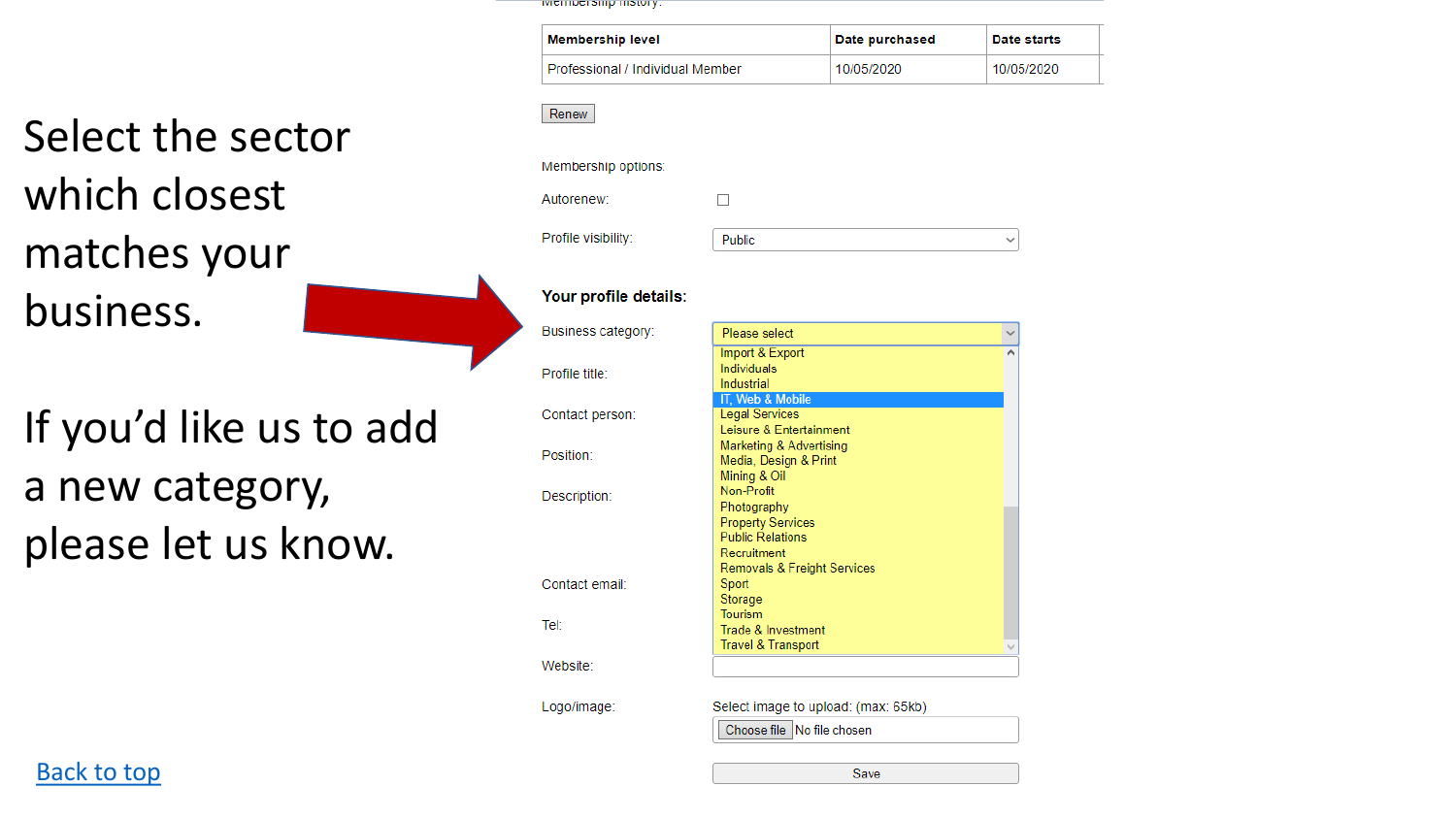iviciniucranių matury.

| <b>Membership level</b>          | Date purchased | Date starts |
|----------------------------------|----------------|-------------|
| Professional / Individual Member | 10/05/2020     | 10/05/2020  |

Renew

#### Membership options:

Autorenew:

 $\Box$ 

Profile visibility:



#### Your profile details:

Business category:

Contact person:

Profile title:

Position:

Description:

Contact email:

Tel:

If you'd like us to add a new category, please let us know.

Select the sector

which closest

matches your

business.

| Please select                 |  |
|-------------------------------|--|
| Import & Export               |  |
| Individuals                   |  |
| Industrial                    |  |
| IT, Web & Mobile              |  |
| <b>Legal Services</b>         |  |
| Leisure & Entertainment       |  |
| Marketing & Advertising       |  |
| Media, Design & Print         |  |
| Mining & Oil                  |  |
| Non-Profit                    |  |
| Photography                   |  |
| <b>Property Services</b>      |  |
| <b>Public Relations</b>       |  |
| Recruitment                   |  |
| Removals & Freight Services   |  |
| Sport                         |  |
| Storage<br>Tourism            |  |
| Trade & Investment            |  |
| <b>Travel &amp; Transport</b> |  |
|                               |  |
|                               |  |

Logo/image:

Website:

Select image to upload: (max: 65kb)

Choose file No file chosen

**Back to top** 

Save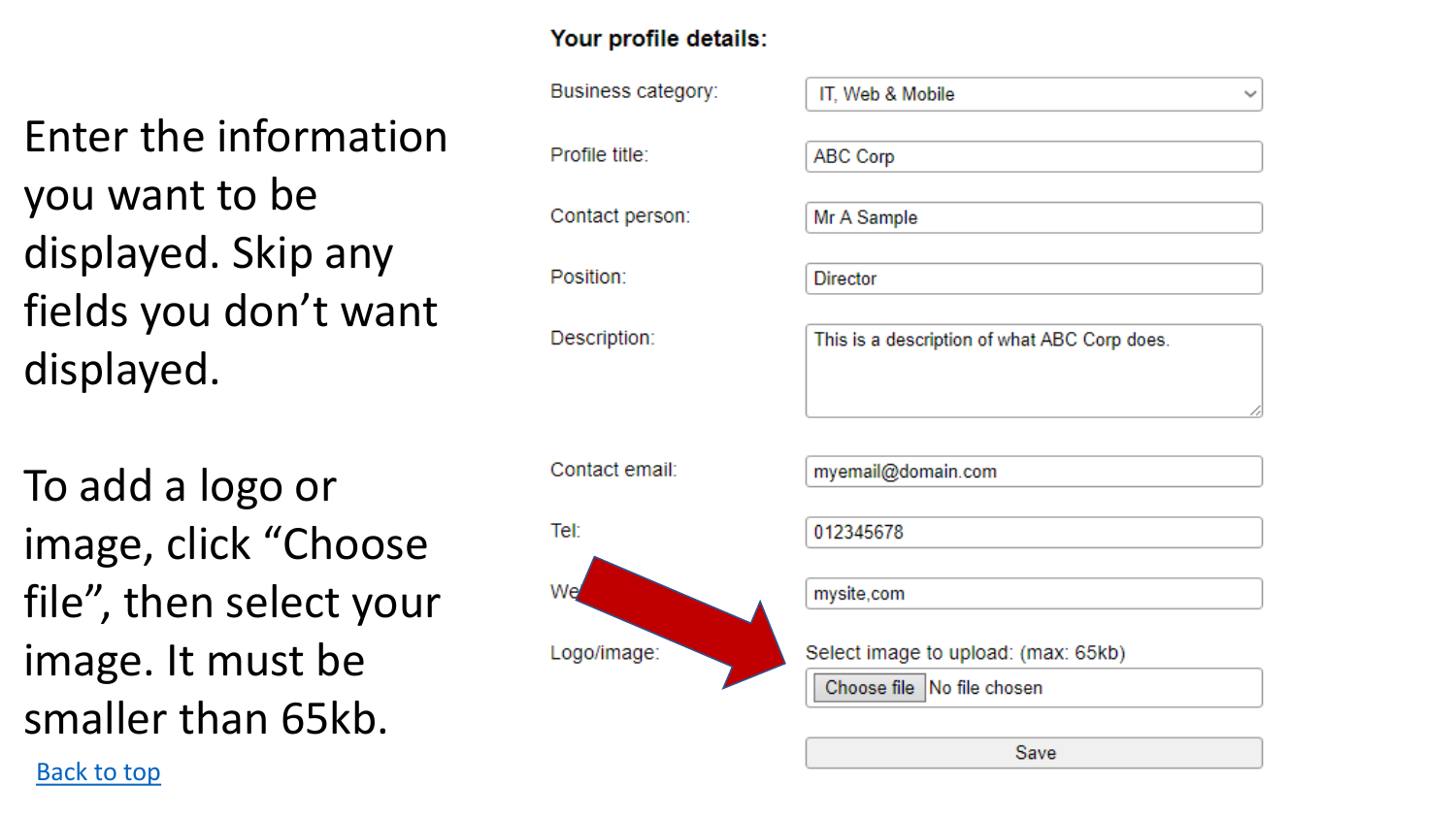Enter the information you want to be displayed. Skip any fields you don't want displayed.

To add a logo or image, click "Choose file", then select your image. It must be smaller than 65kb.

Back to top

## Your profile details:

Business category: Profile title: Contact person: Position: Description: Contact email: Tel: We Logo/image:

IT Web & Mobile

v

**ABC Corp** 

Mr A Sample

**Director** 

This is a description of what ABC Corp does.

myemail@domain.com

012345678

mysite,com

Select image to upload: (max: 65kb)

Choose file No file chosen

Save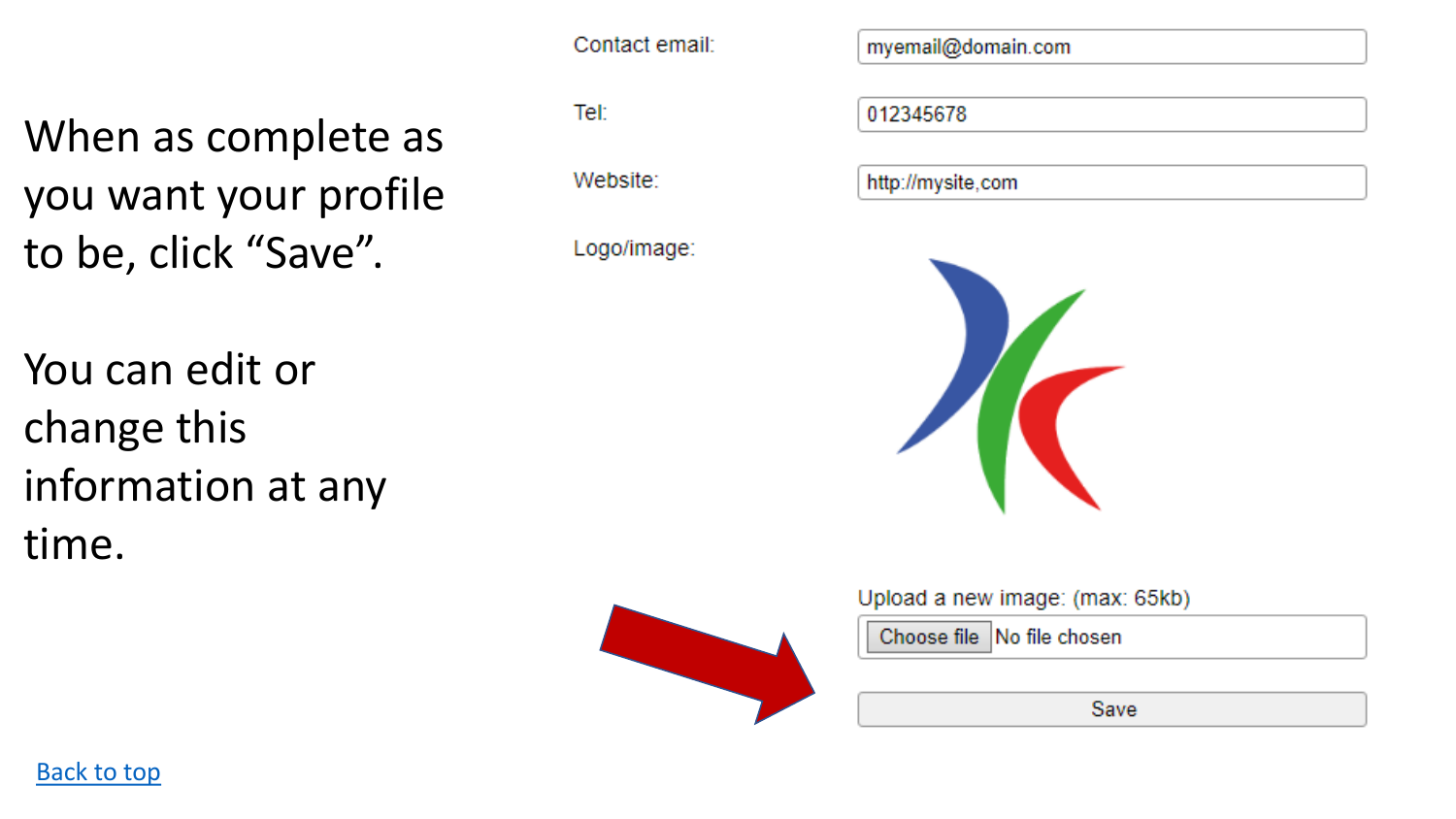Contact email:

When as complete as you want your profile to be, click "Save".

You can edit or change this information at any time.

Tel:

Website:

Logo/image:

myemail@domain.com

012345678

http://mysite.com



Upload a new image: (max: 65kb)

Choose file No file chosen

Save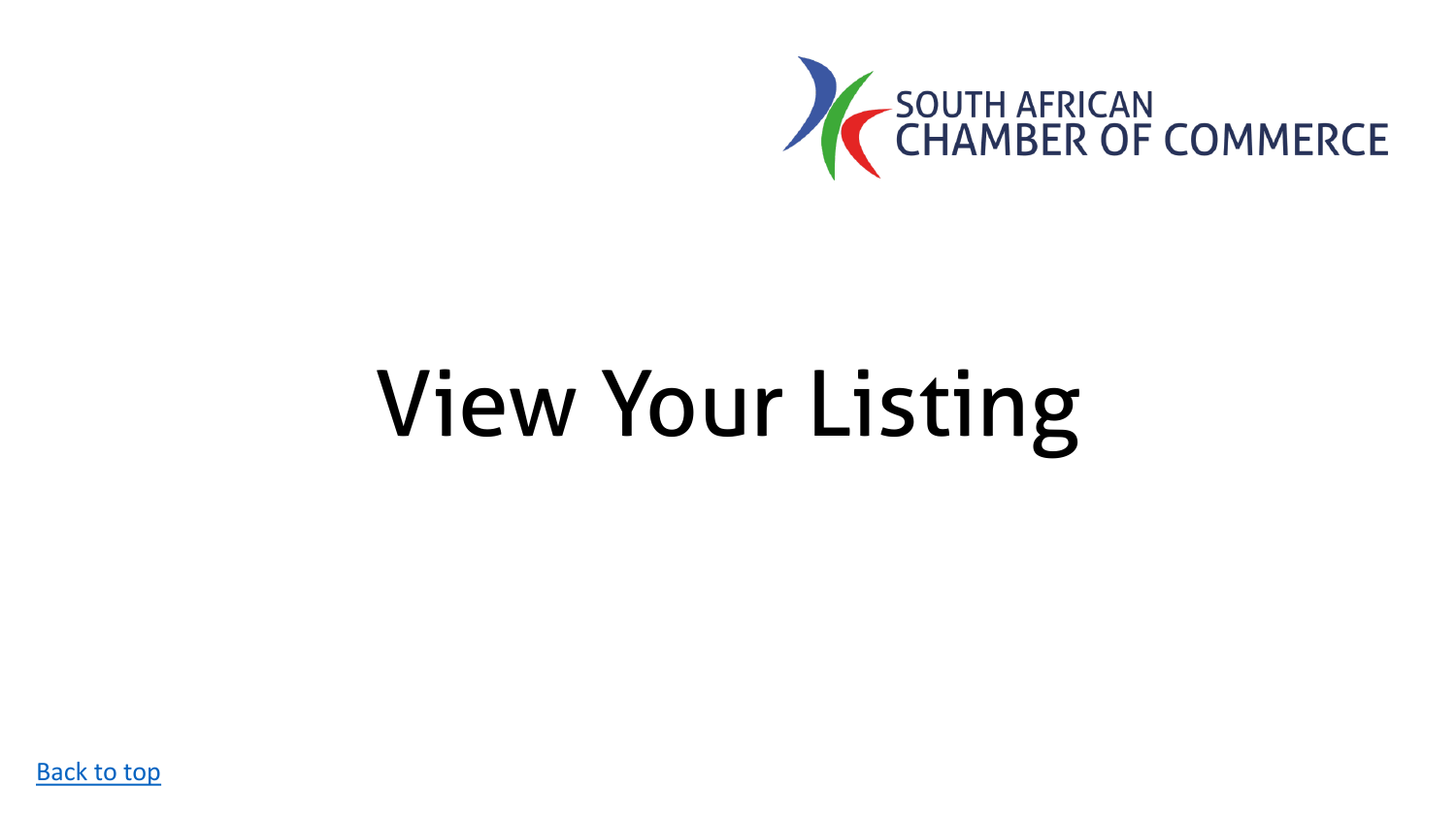

# <span id="page-18-0"></span>View Your Listing

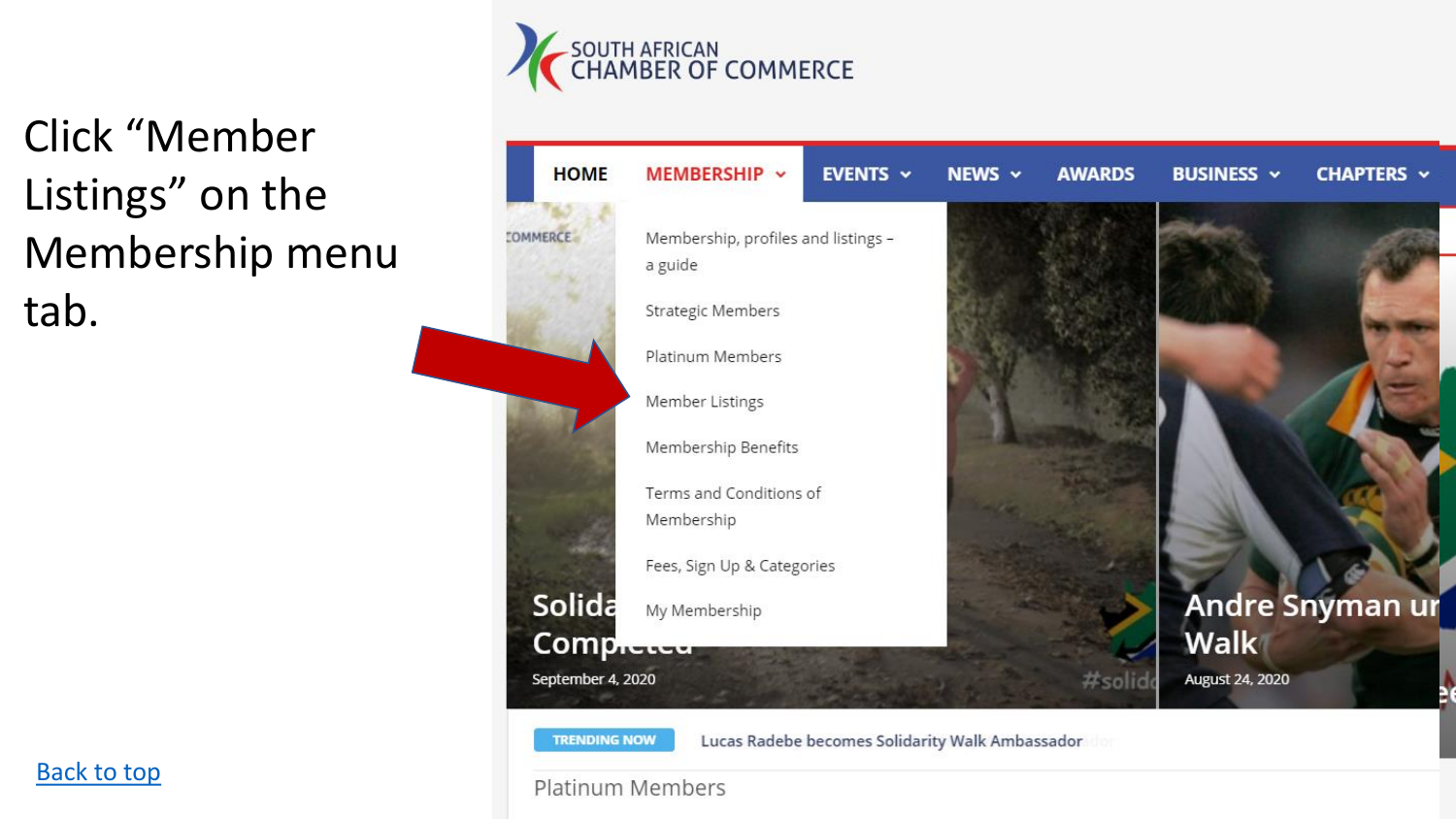

Click "Member Listings" on the Membership menu tab.



MEMBERSHIP ~ EVENTS ~ NEWS  $\sim$ **AWARDS BUSINESS v CHAPTERS v** Membership, profiles and listings -**Strategic Members** Platinum Members Membership Benefits Terms and Conditions of Fees, Sign Up & Categories **Andre Snyman ur Walk August 24, 2020** #solid

Lucas Radebe becomes Solidarity Walk Ambassador

#### **Platinum Members**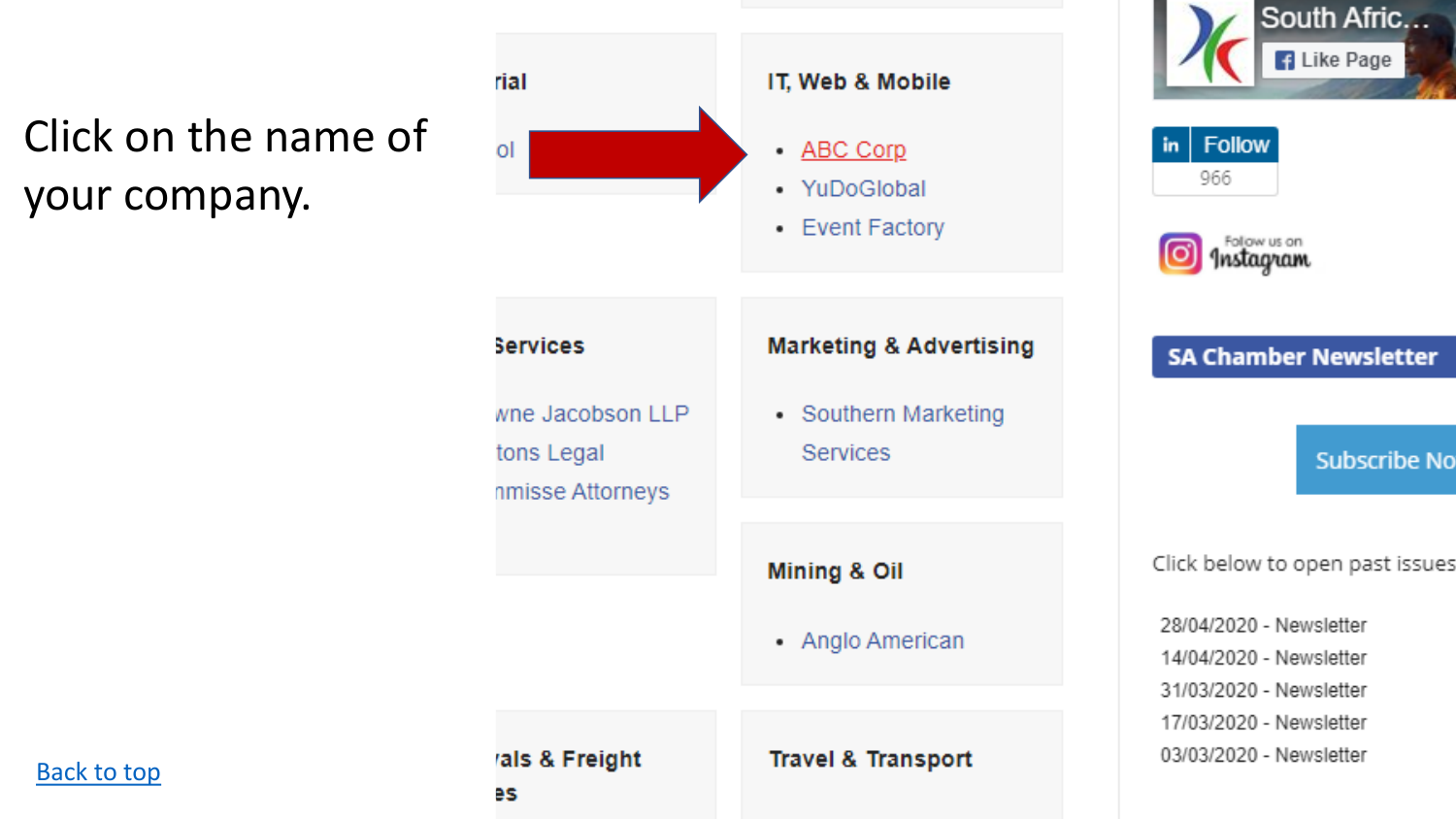# Click on the name of your company.